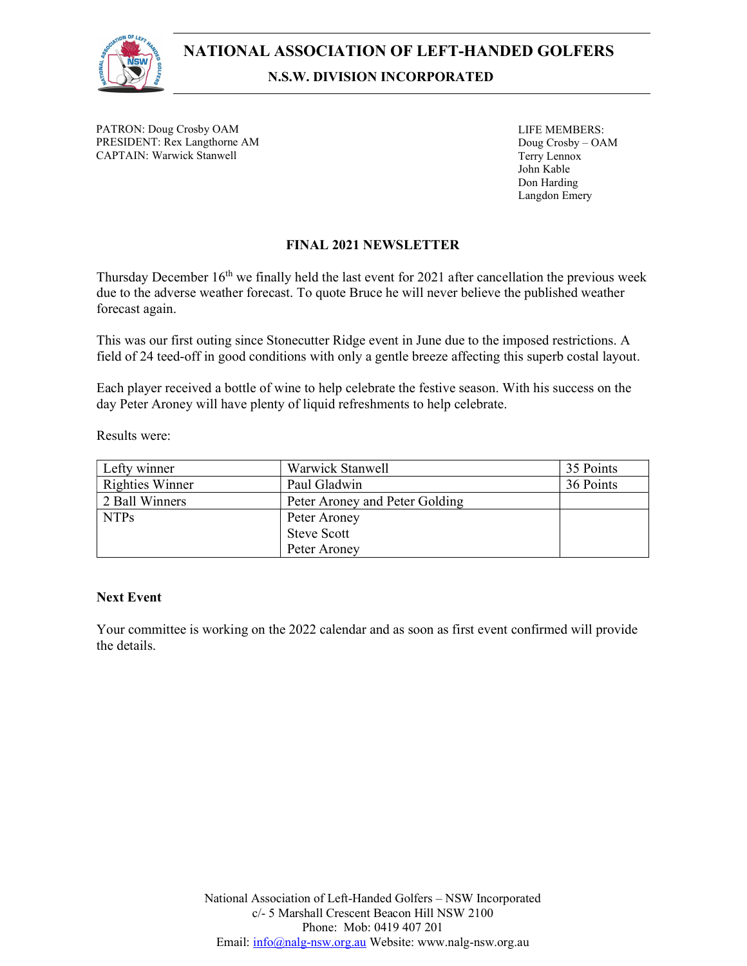

PATRON: Doug Crosby OAM PRESIDENT: Rex Langthorne AM CAPTAIN: Warwick Stanwell

LIFE MEMBERS: Doug Crosby – OAM Terry Lennox John Kable Don Harding Langdon Emery

## FINAL 2021 NEWSLETTER

Thursday December 16<sup>th</sup> we finally held the last event for 2021 after cancellation the previous week due to the adverse weather forecast. To quote Bruce he will never believe the published weather forecast again.

This was our first outing since Stonecutter Ridge event in June due to the imposed restrictions. A field of 24 teed-off in good conditions with only a gentle breeze affecting this superb costal layout.

Each player received a bottle of wine to help celebrate the festive season. With his success on the day Peter Aroney will have plenty of liquid refreshments to help celebrate.

Results were:

| Lefty winner           | Warwick Stanwell               | 35 Points |
|------------------------|--------------------------------|-----------|
| <b>Righties Winner</b> | Paul Gladwin                   | 36 Points |
| 2 Ball Winners         | Peter Aroney and Peter Golding |           |
| <b>NTPs</b>            | Peter Aroney                   |           |
|                        | <b>Steve Scott</b>             |           |
|                        | Peter Aroney                   |           |

## Next Event

Your committee is working on the 2022 calendar and as soon as first event confirmed will provide the details.